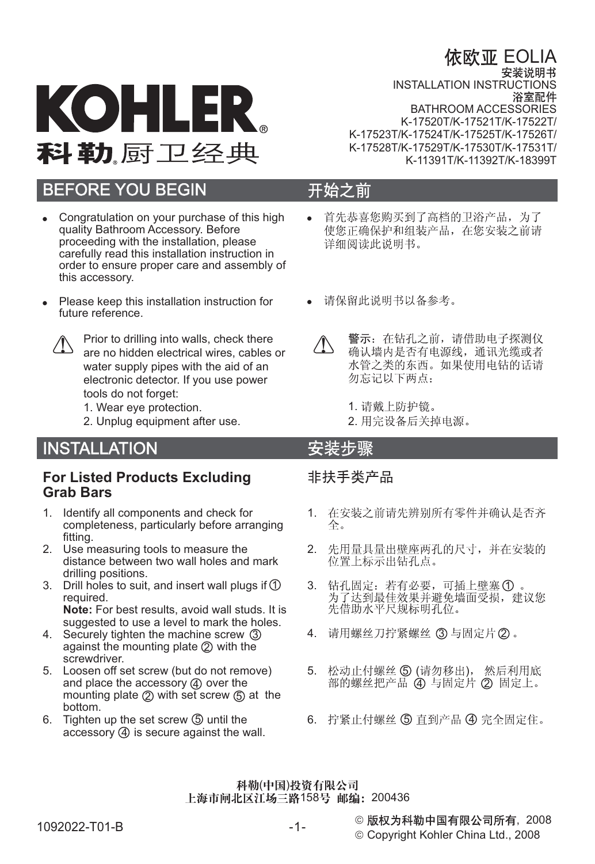# 依欧亚 EOLIA



**INSTALLATION INSTRUCTIONS**<br>浴室配件 BATHROOM ACCESSORIES K-17520T/K-17521T/K-17522T/ K-17523T/K-17524T/K-17525T/K-17526T/ K-17528T/K-17529T/K-17530T/K-17531T/ K-11391T/K-11392T/K-18399T

# BEFORE YOU BEGIN

- -Congratulation on your purchase of this high quality Bathroom Accessory. Before proceeding with the installation, please carefully read this installation instruction in order to ensure proper care and assembly of this accessory.
- -Please keep this installation instruction for future reference.



Prior to drilling into walls, check there are no hidden electrical wires, cables or water supply pipes with the aid of an electronic detector. If you use power tools do not forget:

- 1. Wear eye protection.
- 2. Unplug equipment after use.

## INSTALLATION

## **For Listed Products Excluding Grab Bars**

- 1. Identify all components and check for completeness, particularly before arranging fitting.
- 2. Use measuring tools to measure the distance between two wall holes and mark drilling positions.
- 3. Drill holes to suit, and insert wall plugs if 1 required. **Note:** For best results, avoid wall studs. It is
- suggested to use a level to mark the holes. 4. Securely tighten the machine screw 3 against the mounting plate 2 with the screwdriver.
- 5. Loosen off set screw (but do not remove) and place the accessory 4 over the mounting plate 2 with set screw (5) at the bottom.
- 6. Tighten up the set screw  $\textcircled{5}$  until the  $\textcircled{6}$ . accessory 4 is secure against the wall.

## 开始之前

- -首先恭喜您购买到了高档的卫浴产品, 为了 使您正确保护和组装产品, 在您安装之前请 详细阅读此说明书。
- -请保留此说明书以备参考。



警示: 在钻孔之前, 请借助电子探测仪 确认墙内是否有电源线,通讯光缆或者 水管之类的东西。如果使用电钻的话请 勿忘记以下两点:

- 1. 请戴上防护镜。
- 2. 用完设备后关掉电源。

## 安装步骤

## 非扶手类产品

- 1. 在安装之前请先辨别所有零件并确认是否齐 全。
- 2. 先用量具量出壁座两孔的尺寸,并在安装的 位置上标示出钻孔点。
- 3. 钻孔固定: 若有必要, 可插上壁塞 ① 为了达到最佳效果并避免墙面受损,建议您 先借助水平尺规标明孔位。
- 4. 请用螺丝刀拧紧螺丝 ③ 与固定片②
- 5. 松动止付螺丝 ⑤ (请勿移出) 部的螺丝把产品 ④ 与固定片 ② 固定上。
- 6. 拧紧止付螺丝 5 直到产品 4 完全固定住。

#### 科勒(中国)投资有限公司 上海市闸北区江场三路158号 邮编: 200436

#### ◎ 版权为科勒中国有限公司所有,2008

© Copyright Kohler China Ltd., 2008

 $-1-$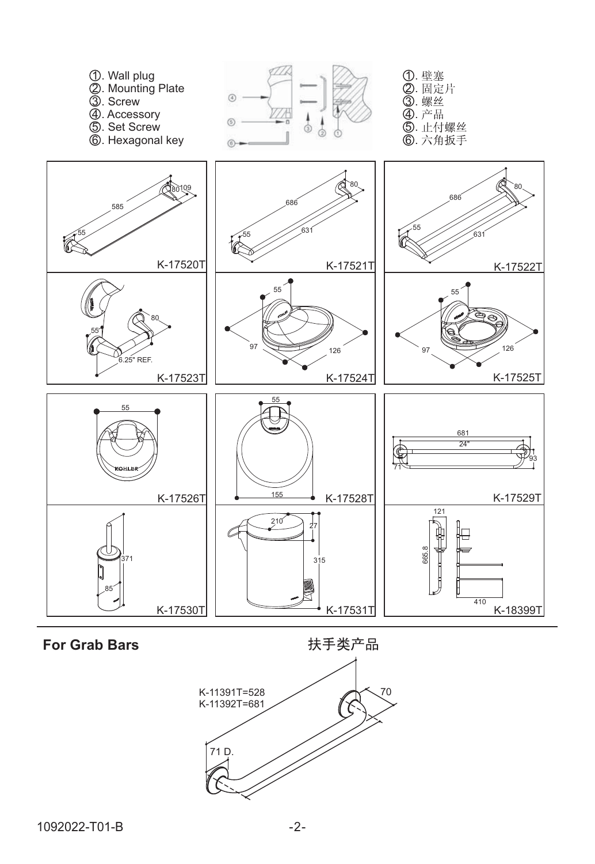